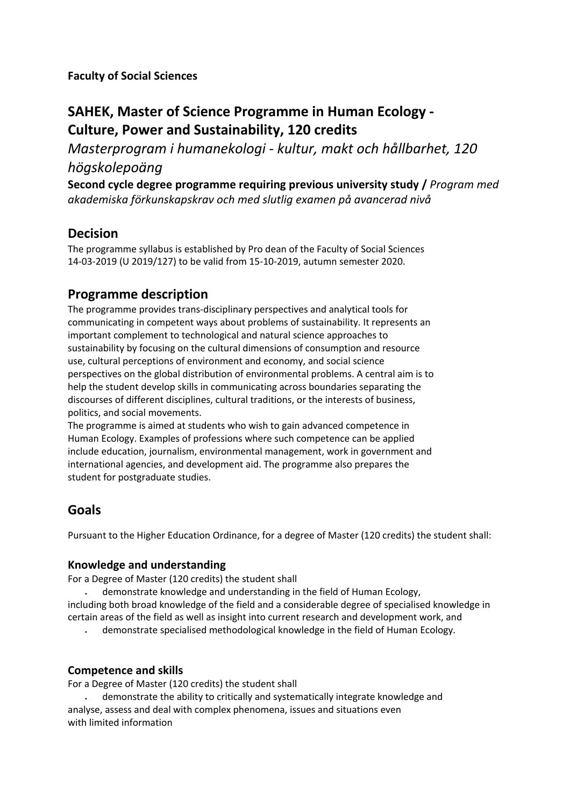**Faculty of Social Sciences**

# **SAHEK, Master of Science Programme in Human Ecology - Culture, Power and Sustainability, 120 credits**

*Masterprogram i humanekologi - kultur, makt och hållbarhet, 120 högskolepoäng*

**Second cycle degree programme requiring previous university study /** *Program med akademiska förkunskapskrav och med slutlig examen på avancerad nivå*

## **Decision**

The programme syllabus is established by Pro dean of the Faculty of Social Sciences 14-03-2019 (U 2019/127) to be valid from 15-10-2019, autumn semester 2020.

# **Programme description**

The programme provides trans-disciplinary perspectives and analytical tools for communicating in competent ways about problems of sustainability. It represents an important complement to technological and natural science approaches to sustainability by focusing on the cultural dimensions of consumption and resource use, cultural perceptions of environment and economy, and social science perspectives on the global distribution of environmental problems. A central aim is to help the student develop skills in communicating across boundaries separating the discourses of different disciplines, cultural traditions, or the interests of business, politics, and social movements.

The programme is aimed at students who wish to gain advanced competence in Human Ecology. Examples of professions where such competence can be applied include education, journalism, environmental management, work in government and international agencies, and development aid. The programme also prepares the student for postgraduate studies.

## **Goals**

Pursuant to the Higher Education Ordinance, for a degree of Master (120 credits) the student shall:

### **Knowledge and understanding**

For a Degree of Master (120 credits) the student shall

• demonstrate knowledge and understanding in the field of Human Ecology,

including both broad knowledge of the field and a considerable degree of specialised knowledge in certain areas of the field as well as insight into current research and development work, and

• demonstrate specialised methodological knowledge in the field of Human Ecology.

### **Competence and skills**

For a Degree of Master (120 credits) the student shall

• demonstrate the ability to critically and systematically integrate knowledge and analyse, assess and deal with complex phenomena, issues and situations even with limited information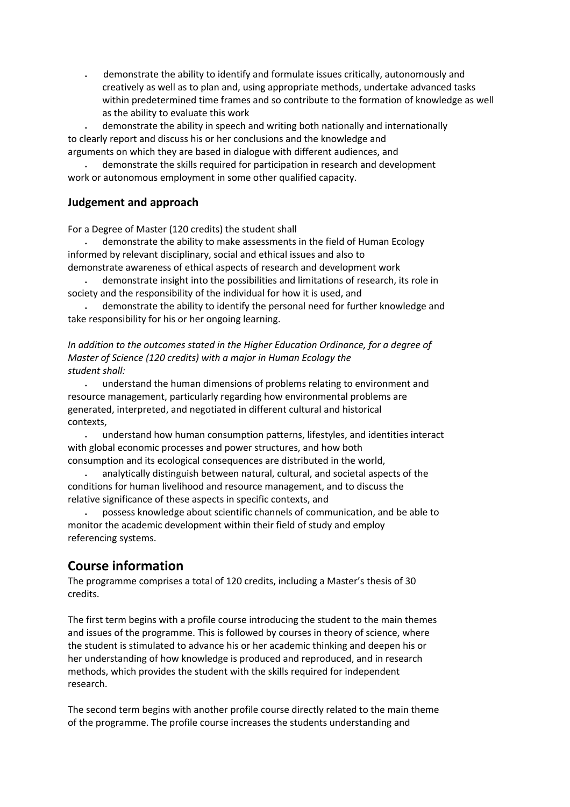• demonstrate the ability to identify and formulate issues critically, autonomously and creatively as well as to plan and, using appropriate methods, undertake advanced tasks within predetermined time frames and so contribute to the formation of knowledge as well as the ability to evaluate this work

• demonstrate the ability in speech and writing both nationally and internationally to clearly report and discuss his or her conclusions and the knowledge and arguments on which they are based in dialogue with different audiences, and

• demonstrate the skills required for participation in research and development work or autonomous employment in some other qualified capacity.

#### **Judgement and approach**

For a Degree of Master (120 credits) the student shall

• demonstrate the ability to make assessments in the field of Human Ecology informed by relevant disciplinary, social and ethical issues and also to demonstrate awareness of ethical aspects of research and development work

• demonstrate insight into the possibilities and limitations of research, its role in society and the responsibility of the individual for how it is used, and

• demonstrate the ability to identify the personal need for further knowledge and take responsibility for his or her ongoing learning.

*In addition to the outcomes stated in the Higher Education Ordinance, for a degree of Master of Science (120 credits) with a major in Human Ecology the student shall:*

• understand the human dimensions of problems relating to environment and resource management, particularly regarding how environmental problems are generated, interpreted, and negotiated in different cultural and historical contexts,

• understand how human consumption patterns, lifestyles, and identities interact with global economic processes and power structures, and how both consumption and its ecological consequences are distributed in the world,

• analytically distinguish between natural, cultural, and societal aspects of the conditions for human livelihood and resource management, and to discuss the relative significance of these aspects in specific contexts, and

• possess knowledge about scientific channels of communication, and be able to monitor the academic development within their field of study and employ referencing systems.

## **Course information**

The programme comprises a total of 120 credits, including a Master's thesis of 30 credits.

The first term begins with a profile course introducing the student to the main themes and issues of the programme. This is followed by courses in theory of science, where the student is stimulated to advance his or her academic thinking and deepen his or her understanding of how knowledge is produced and reproduced, and in research methods, which provides the student with the skills required for independent research.

The second term begins with another profile course directly related to the main theme of the programme. The profile course increases the students understanding and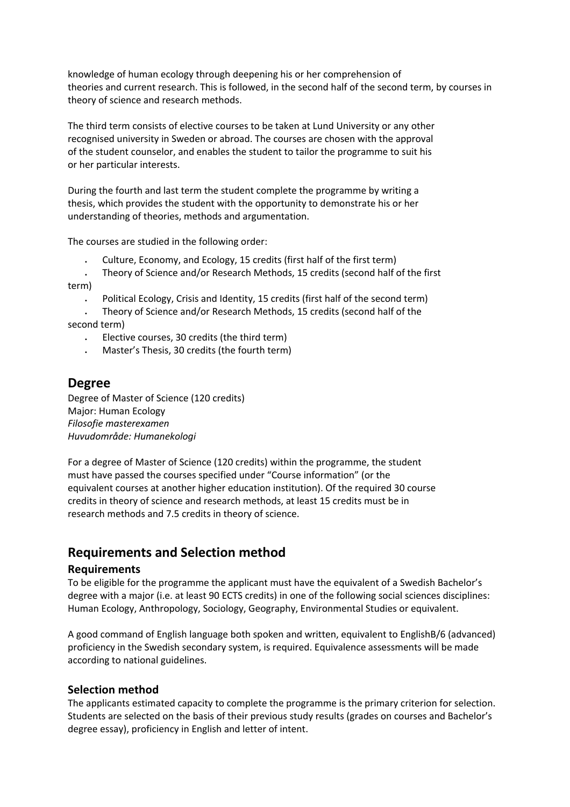knowledge of human ecology through deepening his or her comprehension of theories and current research. This is followed, in the second half of the second term, by courses in theory of science and research methods.

The third term consists of elective courses to be taken at Lund University or any other recognised university in Sweden or abroad. The courses are chosen with the approval of the student counselor, and enables the student to tailor the programme to suit his or her particular interests.

During the fourth and last term the student complete the programme by writing a thesis, which provides the student with the opportunity to demonstrate his or her understanding of theories, methods and argumentation.

The courses are studied in the following order:

• Culture, Economy, and Ecology, 15 credits (first half of the first term)

• Theory of Science and/or Research Methods, 15 credits (second half of the first term)

• Political Ecology, Crisis and Identity, 15 credits (first half of the second term)

• Theory of Science and/or Research Methods, 15 credits (second half of the second term)

- Elective courses, 30 credits (the third term)
- Master's Thesis, 30 credits (the fourth term)

### **Degree**

Degree of Master of Science (120 credits) Major: Human Ecology *Filosofie masterexamen Huvudområde: Humanekologi*

For a degree of Master of Science (120 credits) within the programme, the student must have passed the courses specified under "Course information" (or the equivalent courses at another higher education institution). Of the required 30 course credits in theory of science and research methods, at least 15 credits must be in research methods and 7.5 credits in theory of science.

## **Requirements and Selection method**

#### **Requirements**

To be eligible for the programme the applicant must have the equivalent of a Swedish Bachelor's degree with a major (i.e. at least 90 ECTS credits) in one of the following social sciences disciplines: Human Ecology, Anthropology, Sociology, Geography, Environmental Studies or equivalent.

A good command of English language both spoken and written, equivalent to EnglishB/6 (advanced) proficiency in the Swedish secondary system, is required. Equivalence assessments will be made according to national guidelines.

#### **Selection method**

The applicants estimated capacity to complete the programme is the primary criterion for selection. Students are selected on the basis of their previous study results (grades on courses and Bachelor's degree essay), proficiency in English and letter of intent.